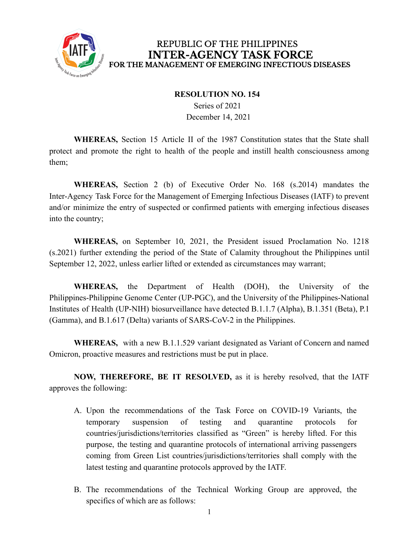

## REPUBLIC OF THE PHILIPPINES **INTER-AGENCY TASK FORCE** FOR THE MANAGEMENT OF EMERGING INFECTIOUS DISEASES

## **RESOLUTION NO. 154**

Series of 2021 December 14, 2021

**WHEREAS,** Section 15 Article II of the 1987 Constitution states that the State shall protect and promote the right to health of the people and instill health consciousness among them;

**WHEREAS,** Section 2 (b) of Executive Order No. 168 (s.2014) mandates the Inter-Agency Task Force for the Management of Emerging Infectious Diseases (IATF) to prevent and/or minimize the entry of suspected or confirmed patients with emerging infectious diseases into the country;

**WHEREAS,** on September 10, 2021, the President issued Proclamation No. 1218 (s.2021) further extending the period of the State of Calamity throughout the Philippines until September 12, 2022, unless earlier lifted or extended as circumstances may warrant;

**WHEREAS,** the Department of Health (DOH), the University of the Philippines-Philippine Genome Center (UP-PGC), and the University of the Philippines-National Institutes of Health (UP-NIH) biosurveillance have detected B.1.1.7 (Alpha), B.1.351 (Beta), P.1 (Gamma), and B.1.617 (Delta) variants of SARS-CoV-2 in the Philippines.

**WHEREAS,** with a new B.1.1.529 variant designated as Variant of Concern and named Omicron, proactive measures and restrictions must be put in place.

**NOW, THEREFORE, BE IT RESOLVED,** as it is hereby resolved, that the IATF approves the following:

- A. Upon the recommendations of the Task Force on COVID-19 Variants, the temporary suspension of testing and quarantine protocols for countries/jurisdictions/territories classified as "Green" is hereby lifted. For this purpose, the testing and quarantine protocols of international arriving passengers coming from Green List countries/jurisdictions/territories shall comply with the latest testing and quarantine protocols approved by the IATF.
- B. The recommendations of the Technical Working Group are approved, the specifics of which are as follows: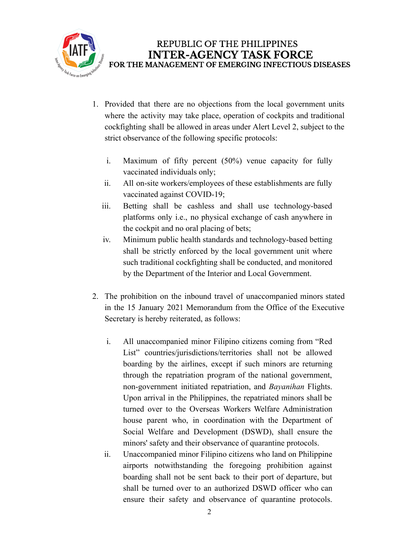

- 1. Provided that there are no objections from the local government units where the activity may take place, operation of cockpits and traditional cockfighting shall be allowed in areas under Alert Level 2, subject to the strict observance of the following specific protocols:
	- i. Maximum of fifty percent (50%) venue capacity for fully vaccinated individuals only;
	- ii. All on-site workers/employees of these establishments are fully vaccinated against COVID-19;
	- iii. Betting shall be cashless and shall use technology-based platforms only i.e., no physical exchange of cash anywhere in the cockpit and no oral placing of bets;
	- iv. Minimum public health standards and technology-based betting shall be strictly enforced by the local government unit where such traditional cockfighting shall be conducted, and monitored by the Department of the Interior and Local Government.
- 2. The prohibition on the inbound travel of unaccompanied minors stated in the 15 January 2021 Memorandum from the Office of the Executive Secretary is hereby reiterated, as follows:
	- i. All unaccompanied minor Filipino citizens coming from "Red List" countries/jurisdictions/territories shall not be allowed boarding by the airlines, except if such minors are returning through the repatriation program of the national government, non-government initiated repatriation, and *Bayanihan* Flights. Upon arrival in the Philippines, the repatriated minors shall be turned over to the Overseas Workers Welfare Administration house parent who, in coordination with the Department of Social Welfare and Development (DSWD), shall ensure the minors' safety and their observance of quarantine protocols.
	- ii. Unaccompanied minor Filipino citizens who land on Philippine airports notwithstanding the foregoing prohibition against boarding shall not be sent back to their port of departure, but shall be turned over to an authorized DSWD officer who can ensure their safety and observance of quarantine protocols.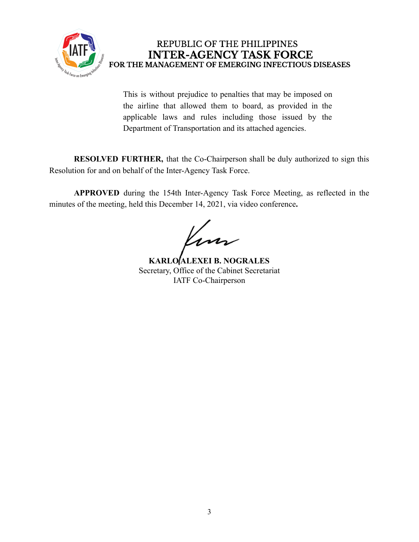

## REPUBLIC OF THE PHILIPPINES **INTER-AGENCY TASK FORCE** FOR THE MANAGEMENT OF EMERGING INFECTIOUS DISEASES

This is without prejudice to penalties that may be imposed on the airline that allowed them to board, as provided in the applicable laws and rules including those issued by the Department of Transportation and its attached agencies.

**RESOLVED FURTHER,** that the Co-Chairperson shall be duly authorized to sign this Resolution for and on behalf of the Inter-Agency Task Force.

**APPROVED** during the 154th Inter-Agency Task Force Meeting, as reflected in the minutes of the meeting, held this December 14, 2021, via video conference**.**

**KARLO ALEXEI B. NOGRALES** Secretary, Office of the Cabinet Secretariat IATF Co-Chairperson